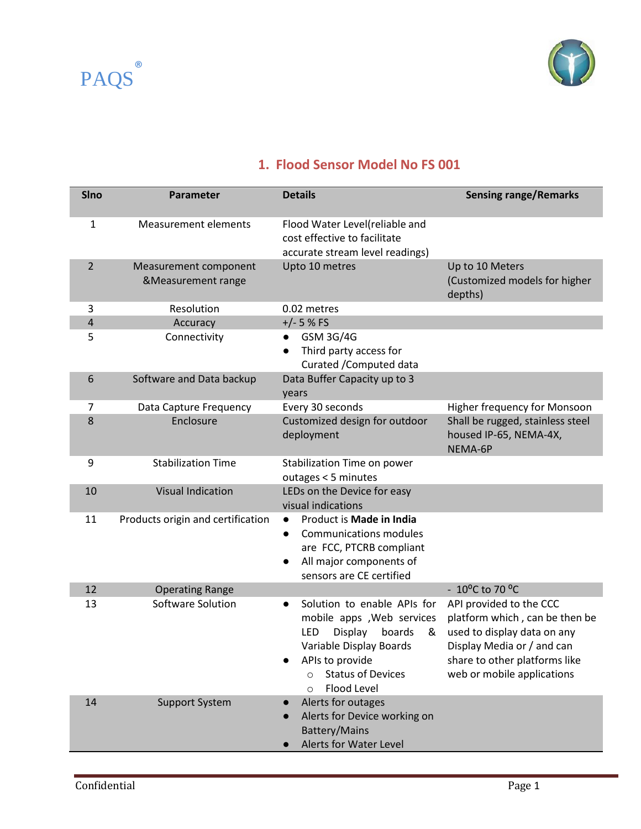



## **1. Flood Sensor Model No FS 001**

| <b>SIno</b>    | Parameter                                   | <b>Details</b>                                                                                                                                                                                        | <b>Sensing range/Remarks</b>                                                                                                                                                          |
|----------------|---------------------------------------------|-------------------------------------------------------------------------------------------------------------------------------------------------------------------------------------------------------|---------------------------------------------------------------------------------------------------------------------------------------------------------------------------------------|
| $\mathbf{1}$   | <b>Measurement elements</b>                 | Flood Water Level(reliable and<br>cost effective to facilitate<br>accurate stream level readings)                                                                                                     |                                                                                                                                                                                       |
| $\overline{2}$ | Measurement component<br>&Measurement range | Upto 10 metres                                                                                                                                                                                        | Up to 10 Meters<br>(Customized models for higher<br>depths)                                                                                                                           |
| 3              | Resolution                                  | 0.02 metres                                                                                                                                                                                           |                                                                                                                                                                                       |
| $\overline{4}$ | Accuracy                                    | $+/- 5 % FS$                                                                                                                                                                                          |                                                                                                                                                                                       |
| 5              | Connectivity                                | GSM 3G/4G<br>$\bullet$<br>Third party access for<br>$\bullet$<br>Curated / Computed data                                                                                                              |                                                                                                                                                                                       |
| 6              | Software and Data backup                    | Data Buffer Capacity up to 3<br>years                                                                                                                                                                 |                                                                                                                                                                                       |
| 7              | Data Capture Frequency                      | Every 30 seconds                                                                                                                                                                                      | Higher frequency for Monsoon                                                                                                                                                          |
| 8              | Enclosure                                   | Customized design for outdoor<br>deployment                                                                                                                                                           | Shall be rugged, stainless steel<br>housed IP-65, NEMA-4X,<br>NEMA-6P                                                                                                                 |
| 9              | <b>Stabilization Time</b>                   | Stabilization Time on power<br>outages < 5 minutes                                                                                                                                                    |                                                                                                                                                                                       |
| 10             | <b>Visual Indication</b>                    | LEDs on the Device for easy<br>visual indications                                                                                                                                                     |                                                                                                                                                                                       |
| 11             | Products origin and certification           | Product is Made in India<br>$\bullet$<br>Communications modules<br>$\bullet$<br>are FCC, PTCRB compliant<br>All major components of<br>sensors are CE certified                                       |                                                                                                                                                                                       |
| 12             | <b>Operating Range</b>                      |                                                                                                                                                                                                       | - $10^{\circ}$ C to 70 $^{\circ}$ C                                                                                                                                                   |
| 13             | Software Solution                           | Solution to enable APIs for<br>$\bullet$<br>mobile apps , Web services<br>Display<br>boards<br>LED<br>&<br>Variable Display Boards<br>APIs to provide<br><b>Status of Devices</b><br>Flood Level<br>◯ | API provided to the CCC<br>platform which, can be then be<br>used to display data on any<br>Display Media or / and can<br>share to other platforms like<br>web or mobile applications |
| 14             | <b>Support System</b>                       | Alerts for outages<br>Alerts for Device working on<br><b>Battery/Mains</b><br>Alerts for Water Level                                                                                                  |                                                                                                                                                                                       |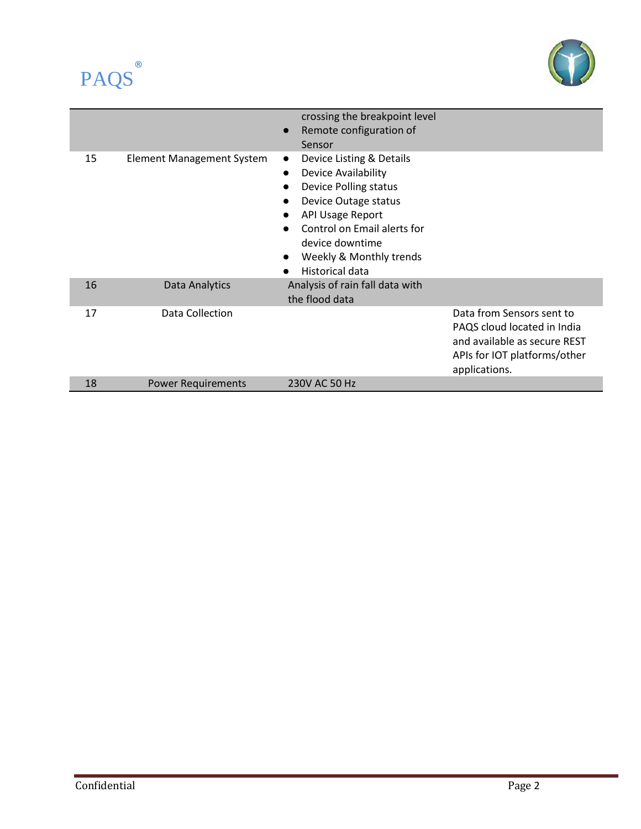



|    |                                  | crossing the breakpoint level<br>Remote configuration of<br>$\bullet$<br>Sensor                                                                                                                                                                                           |                                                                                                                                           |
|----|----------------------------------|---------------------------------------------------------------------------------------------------------------------------------------------------------------------------------------------------------------------------------------------------------------------------|-------------------------------------------------------------------------------------------------------------------------------------------|
| 15 | <b>Element Management System</b> | Device Listing & Details<br>$\bullet$<br>Device Availability<br>$\bullet$<br><b>Device Polling status</b><br>Device Outage status<br><b>API Usage Report</b><br>Control on Email alerts for<br>device downtime<br>Weekly & Monthly trends<br>$\bullet$<br>Historical data |                                                                                                                                           |
| 16 | Data Analytics                   | Analysis of rain fall data with<br>the flood data                                                                                                                                                                                                                         |                                                                                                                                           |
| 17 | Data Collection                  |                                                                                                                                                                                                                                                                           | Data from Sensors sent to<br>PAQS cloud located in India<br>and available as secure REST<br>APIs for IOT platforms/other<br>applications. |
| 18 | <b>Power Requirements</b>        | 230V AC 50 Hz                                                                                                                                                                                                                                                             |                                                                                                                                           |